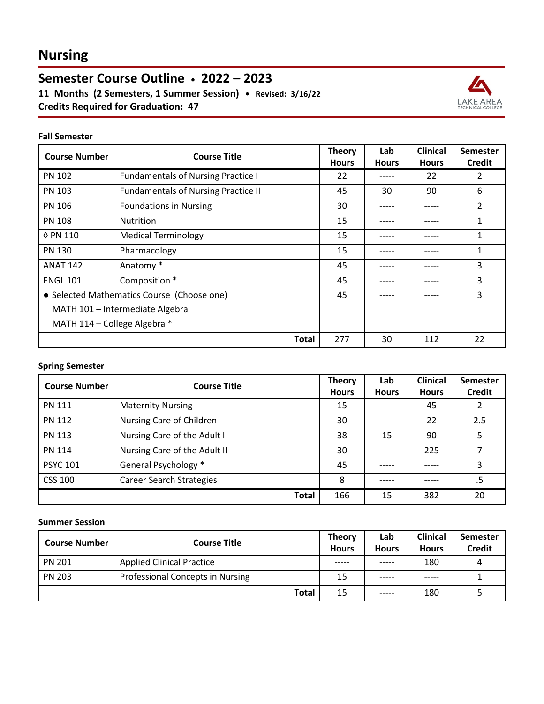# **Nursing**

**Semester Course Outline • 2022 – 2023 11 Months (2 Semesters, 1 Summer Session) • Revised: 3/16/22**

**Credits Required for Graduation: 47**



#### **Fall Semester**

| <b>Course Number</b>                       | <b>Course Title</b>                        | <b>Theory</b><br><b>Hours</b> | Lab<br><b>Hours</b> | <b>Clinical</b><br><b>Hours</b> | <b>Semester</b><br><b>Credit</b> |
|--------------------------------------------|--------------------------------------------|-------------------------------|---------------------|---------------------------------|----------------------------------|
| <b>PN 102</b>                              | <b>Fundamentals of Nursing Practice I</b>  | 22                            | -----               | 22                              | 2                                |
| PN 103                                     | <b>Fundamentals of Nursing Practice II</b> | 45                            | 30                  | 90                              | 6                                |
| <b>PN 106</b>                              | <b>Foundations in Nursing</b>              | 30                            |                     | -----                           | 2                                |
| <b>PN 108</b>                              | <b>Nutrition</b>                           | 15                            | -----               | -----                           | 1                                |
| 0 PN 110                                   | <b>Medical Terminology</b>                 | 15                            | -----               | -----                           | 1                                |
| <b>PN 130</b>                              | Pharmacology                               | 15                            |                     | -----                           | 1                                |
| <b>ANAT 142</b>                            | Anatomy*                                   | 45                            | -----               | -----                           | 3                                |
| <b>ENGL 101</b>                            | Composition *                              | 45                            |                     | -----                           | 3                                |
| • Selected Mathematics Course (Choose one) |                                            | 45                            |                     | -----                           | 3                                |
| MATH 101 - Intermediate Algebra            |                                            |                               |                     |                                 |                                  |
| MATH 114 - College Algebra *               |                                            |                               |                     |                                 |                                  |
|                                            | Total                                      | 277                           | 30                  | 112                             | 22                               |

### **Spring Semester**

| <b>Course Number</b> | <b>Course Title</b>             | <b>Theory</b><br><b>Hours</b> | Lab<br><b>Hours</b> | <b>Clinical</b><br><b>Hours</b> | <b>Semester</b><br><b>Credit</b> |
|----------------------|---------------------------------|-------------------------------|---------------------|---------------------------------|----------------------------------|
| <b>PN 111</b>        | <b>Maternity Nursing</b>        | 15                            | ----                | 45                              |                                  |
| <b>PN 112</b>        | Nursing Care of Children        | 30                            |                     | 22                              | 2.5                              |
| <b>PN 113</b>        | Nursing Care of the Adult I     | 38                            | 15                  | 90                              | 5                                |
| <b>PN 114</b>        | Nursing Care of the Adult II    | 30                            | -----               | 225                             |                                  |
| <b>PSYC 101</b>      | General Psychology *            | 45                            |                     |                                 | 3                                |
| CSS 100              | <b>Career Search Strategies</b> | 8                             |                     |                                 | .5                               |
|                      | <b>Total</b>                    | 166                           | 15                  | 382                             | 20                               |

#### **Summer Session**

| <b>Course Number</b> | <b>Course Title</b>                     | <b>Theory</b><br><b>Hours</b> | Lab<br><b>Hours</b> | <b>Clinical</b><br><b>Hours</b> | <b>Semester</b><br><b>Credit</b> |
|----------------------|-----------------------------------------|-------------------------------|---------------------|---------------------------------|----------------------------------|
| <b>PN 201</b>        | <b>Applied Clinical Practice</b>        | -----                         | ------              | 180                             | 4                                |
| <b>PN 203</b>        | <b>Professional Concepts in Nursing</b> | 15                            | ------              | -----                           |                                  |
|                      | <b>Total</b>                            | 15                            | ------              | 180                             |                                  |